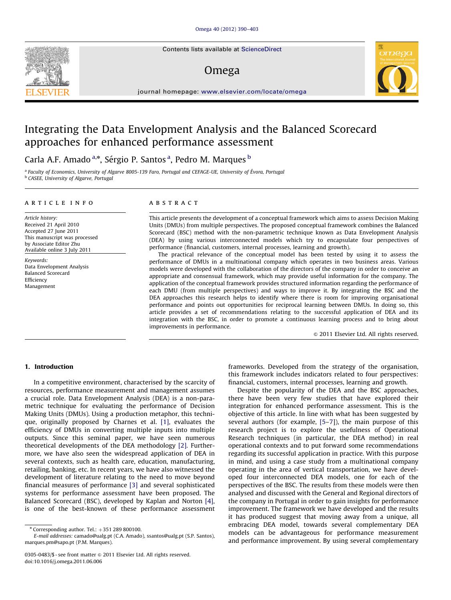Contents lists available at ScienceDirect

### Omega



journal homepage: <www.elsevier.com/locate/omega>

## Integrating the Data Envelopment Analysis and the Balanced Scorecard approaches for enhanced performance assessment

### Carla A.F. Amado <sup>a,\*</sup>, Sérgio P. Santos <sup>a</sup>, Pedro M. Marques <sup>b</sup>

<sup>a</sup> Faculty of Economics, University of Algarve 8005-139 Faro, Portugal and CEFAGE-UE, University of Évora, Portugal **b** CASEE, University of Algarve, Portugal

#### article info

Article history: Received 21 April 2010 Accepted 27 June 2011 This manuscript was processed by Associate Editor Zhu Available online 3 July 2011

Keywords: Data Envelopment Analysis Balanced Scorecard Efficiency Management

#### **ABSTRACT**

This article presents the development of a conceptual framework which aims to assess Decision Making Units (DMUs) from multiple perspectives. The proposed conceptual framework combines the Balanced Scorecard (BSC) method with the non-parametric technique known as Data Envelopment Analysis (DEA) by using various interconnected models which try to encapsulate four perspectives of performance (financial, customers, internal processes, learning and growth).

The practical relevance of the conceptual model has been tested by using it to assess the performance of DMUs in a multinational company which operates in two business areas. Various models were developed with the collaboration of the directors of the company in order to conceive an appropriate and consensual framework, which may provide useful information for the company. The application of the conceptual framework provides structured information regarding the performance of each DMU (from multiple perspectives) and ways to improve it. By integrating the BSC and the DEA approaches this research helps to identify where there is room for improving organisational performance and points out opportunities for reciprocal learning between DMUs. In doing so, this article provides a set of recommendations relating to the successful application of DEA and its integration with the BSC, in order to promote a continuous learning process and to bring about improvements in performance.

 $\odot$  2011 Elsevier Ltd. All rights reserved.

#### 1. Introduction

In a competitive environment, characterised by the scarcity of resources, performance measurement and management assumes a crucial role. Data Envelopment Analysis (DEA) is a non-parametric technique for evaluating the performance of Decision Making Units (DMUs). Using a production metaphor, this technique, originally proposed by Charnes et al. [\[1\]](#page--1-0), evaluates the efficiency of DMUs in converting multiple inputs into multiple outputs. Since this seminal paper, we have seen numerous theoretical developments of the DEA methodology [\[2\]](#page--1-0). Furthermore, we have also seen the widespread application of DEA in several contexts, such as health care, education, manufacturing, retailing, banking, etc. In recent years, we have also witnessed the development of literature relating to the need to move beyond financial measures of performance [\[3\]](#page--1-0) and several sophisticated systems for performance assessment have been proposed. The Balanced Scorecard (BSC), developed by Kaplan and Norton [\[4\],](#page--1-0) is one of the best-known of these performance assessment frameworks. Developed from the strategy of the organisation, this framework includes indicators related to four perspectives: financial, customers, internal processes, learning and growth.

Despite the popularity of the DEA and the BSC approaches, there have been very few studies that have explored their integration for enhanced performance assessment. This is the objective of this article. In line with what has been suggested by several authors (for example, [\[5–7\]](#page--1-0)), the main purpose of this research project is to explore the usefulness of Operational Research techniques (in particular, the DEA method) in real operational contexts and to put forward some recommendations regarding its successful application in practice. With this purpose in mind, and using a case study from a multinational company operating in the area of vertical transportation, we have developed four interconnected DEA models, one for each of the perspectives of the BSC. The results from these models were then analysed and discussed with the General and Regional directors of the company in Portugal in order to gain insights for performance improvement. The framework we have developed and the results it has produced suggest that moving away from a unique, all embracing DEA model, towards several complementary DEA models can be advantageous for performance measurement and performance improvement. By using several complementary



 $*$  Corresponding author. Tel.:  $+351$  289 800100.

E-mail addresses: [camado@ualg.pt \(C.A. Amado\)](mailto:camado@ualg.pt), [ssantos@ualg.pt \(S.P. Santos\)](mailto:ssantos@ualg.pt), [marques.pm@sapo.pt \(P.M. Marques\)](mailto:marques.pm@sapo.pt).

<sup>0305-0483/\$ -</sup> see front matter  $\circ$  2011 Elsevier Ltd. All rights reserved. doi:[10.1016/j.omega.2011.06.006](dx.doi.org/10.1016/j.omega.2011.06.006)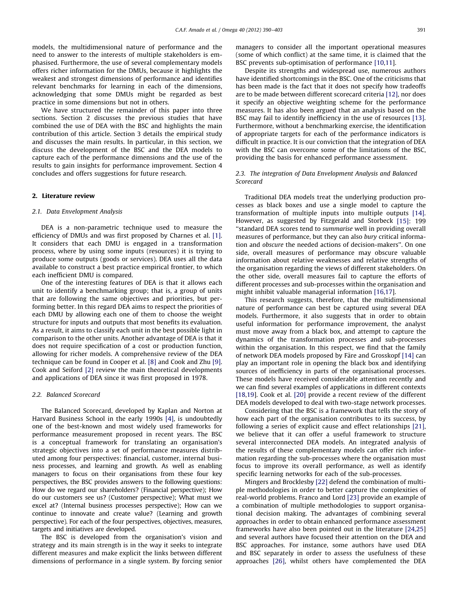models, the multidimensional nature of performance and the need to answer to the interests of multiple stakeholders is emphasised. Furthermore, the use of several complementary models offers richer information for the DMUs, because it highlights the weakest and strongest dimensions of performance and identifies relevant benchmarks for learning in each of the dimensions, acknowledging that some DMUs might be regarded as best practice in some dimensions but not in others.

We have structured the remainder of this paper into three sections. Section 2 discusses the previous studies that have combined the use of DEA with the BSC and highlights the main contribution of this article. Section 3 details the empirical study and discusses the main results. In particular, in this section, we discuss the development of the BSC and the DEA models to capture each of the performance dimensions and the use of the results to gain insights for performance improvement. Section 4 concludes and offers suggestions for future research.

#### 2. Literature review

#### 2.1. Data Envelopment Analysis

DEA is a non-parametric technique used to measure the efficiency of DMUs and was first proposed by Charnes et al. [\[1\].](#page--1-0) It considers that each DMU is engaged in a transformation process, where by using some inputs (resources) it is trying to produce some outputs (goods or services). DEA uses all the data available to construct a best practice empirical frontier, to which each inefficient DMU is compared.

One of the interesting features of DEA is that it allows each unit to identify a benchmarking group; that is, a group of units that are following the same objectives and priorities, but performing better. In this regard DEA aims to respect the priorities of each DMU by allowing each one of them to choose the weight structure for inputs and outputs that most benefits its evaluation. As a result, it aims to classify each unit in the best possible light in comparison to the other units. Another advantage of DEA is that it does not require specification of a cost or production function, allowing for richer models. A comprehensive review of the DEA technique can be found in Cooper et al. [\[8\]](#page--1-0) and Cook and Zhu [\[9\].](#page--1-0) Cook and Seiford [\[2\]](#page--1-0) review the main theoretical developments and applications of DEA since it was first proposed in 1978.

#### 2.2. Balanced Scorecard

The Balanced Scorecard, developed by Kaplan and Norton at Harvard Business School in the early 1990s [\[4\]](#page--1-0), is undoubtedly one of the best-known and most widely used frameworks for performance measurement proposed in recent years. The BSC is a conceptual framework for translating an organisation's strategic objectives into a set of performance measures distributed among four perspectives: financial, customer, internal business processes, and learning and growth. As well as enabling managers to focus on their organisations from these four key perspectives, the BSC provides answers to the following questions: How do we regard our shareholders? (Financial perspective); How do our customers see us? (Customer perspective); What must we excel at? (Internal business processes perspective); How can we continue to innovate and create value? (Learning and growth perspective). For each of the four perspectives, objectives, measures, targets and initiatives are developed.

The BSC is developed from the organisation's vision and strategy and its main strength is in the way it seeks to integrate different measures and make explicit the links between different dimensions of performance in a single system. By forcing senior managers to consider all the important operational measures (some of which conflict) at the same time, it is claimed that the BSC prevents sub-optimisation of performance [\[10,11\]](#page--1-0).

Despite its strengths and widespread use, numerous authors have identified shortcomings in the BSC. One of the criticisms that has been made is the fact that it does not specify how tradeoffs are to be made between different scorecard criteria [\[12\]](#page--1-0), nor does it specify an objective weighting scheme for the performance measures. It has also been argued that an analysis based on the BSC may fail to identify inefficiency in the use of resources [\[13\].](#page--1-0) Furthermore, without a benchmarking exercise, the identification of appropriate targets for each of the performance indicators is difficult in practice. It is our conviction that the integration of DEA with the BSC can overcome some of the limitations of the BSC, providing the basis for enhanced performance assessment.

#### 2.3. The integration of Data Envelopment Analysis and Balanced Scorecard

Traditional DEA models treat the underlying production processes as black boxes and use a single model to capture the transformation of multiple inputs into multiple outputs [\[14\].](#page--1-0) However, as suggested by Fitzgerald and Storbeck [\[15\]](#page--1-0): 199 ''standard DEA scores tend to summarise well in providing overall measures of performance, but they can also bury critical information and obscure the needed actions of decision-makers''. On one side, overall measures of performance may obscure valuable information about relative weaknesses and relative strengths of the organisation regarding the views of different stakeholders. On the other side, overall measures fail to capture the efforts of different processes and sub-processes within the organisation and might inhibit valuable managerial information [\[16,17](#page--1-0)].

This research suggests, therefore, that the multidimensional nature of performance can best be captured using several DEA models. Furthermore, it also suggests that in order to obtain useful information for performance improvement, the analyst must move away from a black box, and attempt to capture the dynamics of the transformation processes and sub-processes within the organisation. In this respect, we find that the family of network DEA models proposed by Färe and Grosskopf [\[14\]](#page--1-0) can play an important role in opening the black box and identifying sources of inefficiency in parts of the organisational processes. These models have received considerable attention recently and we can find several examples of applications in different contexts [\[18,19\]](#page--1-0). Cook et al. [\[20\]](#page--1-0) provide a recent review of the different DEA models developed to deal with two-stage network processes.

Considering that the BSC is a framework that tells the story of how each part of the organisation contributes to its success, by following a series of explicit cause and effect relationships [\[21\],](#page--1-0) we believe that it can offer a useful framework to structure several interconnected DEA models. An integrated analysis of the results of these complementary models can offer rich information regarding the sub-processes where the organisation must focus to improve its overall performance, as well as identify specific learning networks for each of the sub-processes.

Mingers and Brocklesby [\[22\]](#page--1-0) defend the combination of multiple methodologies in order to better capture the complexities of real-world problems. Franco and Lord [\[23\]](#page--1-0) provide an example of a combination of multiple methodologies to support organisational decision making. The advantages of combining several approaches in order to obtain enhanced performance assessment frameworks have also been pointed out in the literature [\[24,25\]](#page--1-0) and several authors have focused their attention on the DEA and BSC approaches. For instance, some authors have used DEA and BSC separately in order to assess the usefulness of these approaches [\[26\]](#page--1-0), whilst others have complemented the DEA